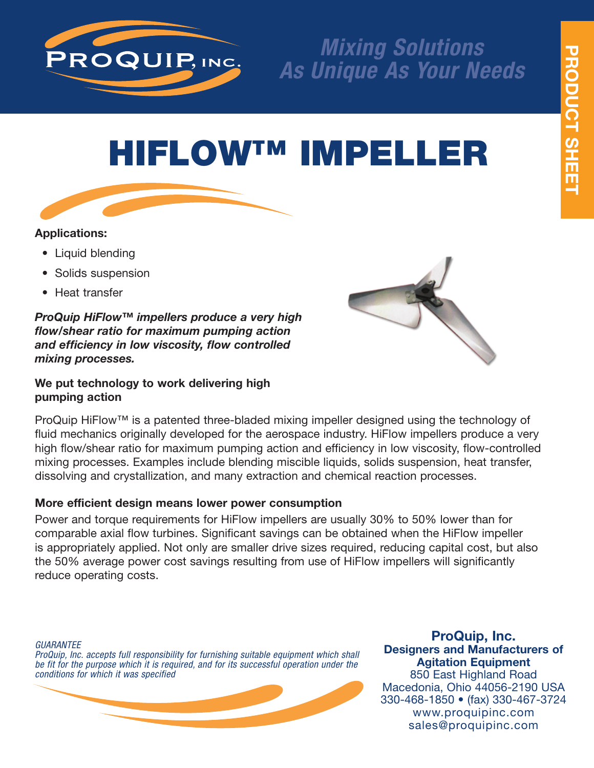

# *Mixing Solutions As Unique As Your Needs*

# **HIFLOW™ IMPELLER**

# **Applications:**

- Liquid blending
- Solids suspension
- Heat transfer

*ProQuip HiFlow™ impellers produce a very high flow/shear ratio for maximum pumping action and efficiency in low viscosity, flow controlled mixing processes.*

## **We put technology to work delivering high pumping action**



ProQuip HiFlow™ is a patented three-bladed mixing impeller designed using the technology of fluid mechanics originally developed for the aerospace industry. HiFlow impellers produce a very high flow/shear ratio for maximum pumping action and efficiency in low viscosity, flow-controlled mixing processes. Examples include blending miscible liquids, solids suspension, heat transfer, dissolving and crystallization, and many extraction and chemical reaction processes.

# **More efficient design means lower power consumption**

Power and torque requirements for HiFlow impellers are usually 30% to 50% lower than for comparable axial flow turbines. Significant savings can be obtained when the HiFlow impeller is appropriately applied. Not only are smaller drive sizes required, reducing capital cost, but also the 50% average power cost savings resulting from use of HiFlow impellers will significantly reduce operating costs.

*GUARANTEE*

*ProQuip, Inc. accepts full responsibility for furnishing suitable equipment which shall be fit for the purpose which it is required, and for its successful operation under the conditions for which it was specified*



**ProQuip, Inc. Designers and Manufacturers of Agitation Equipment** 850 East Highland Road Macedonia, Ohio 44056-2190 USA 330-468-1850 • (fax) 330-467-3724 www.proquipinc.com sales@proquipinc.com